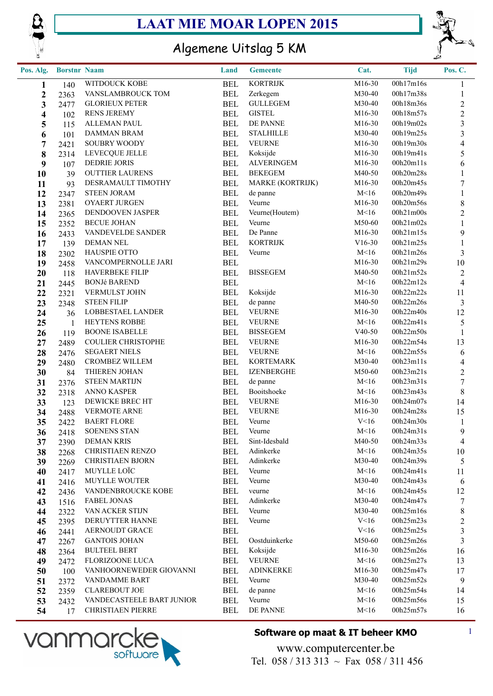



## Algemene Uitslag 5 KM

| Pos. Alg.               | <b>Borstnr Naam</b> |                           | Land       | <b>Gemeente</b>   | Cat.     | <b>Tijd</b> | Pos. C.                 |
|-------------------------|---------------------|---------------------------|------------|-------------------|----------|-------------|-------------------------|
| 1                       | 140                 | WITDOUCK KOBE             | <b>BEL</b> | <b>KORTRIJK</b>   | M16-30   | 00h17m16s   | $\mathbf{1}$            |
| $\boldsymbol{2}$        | 2363                | VANSLAMBROUCK TOM         | <b>BEL</b> | Zerkegem          | M30-40   | 00h17m38s   | $\mathbf{1}$            |
| $\mathbf{3}$            | 2477                | <b>GLORIEUX PETER</b>     | <b>BEL</b> | <b>GULLEGEM</b>   | M30-40   | 00h18m36s   | $\boldsymbol{2}$        |
| $\overline{\mathbf{4}}$ | 102                 | <b>RENS JEREMY</b>        | <b>BEL</b> | <b>GISTEL</b>     | M16-30   | 00h18m57s   | $\sqrt{2}$              |
| $\overline{\mathbf{5}}$ | 115                 | <b>ALLEMAN PAUL</b>       | <b>BEL</b> | DE PANNE          | M16-30   | 00h19m02s   | $\overline{\mathbf{3}}$ |
| 6                       | 101                 | DAMMAN BRAM               | <b>BEL</b> | <b>STALHILLE</b>  | M30-40   | 00h19m25s   | $\mathfrak{Z}$          |
| $\overline{7}$          | 2421                | SOUBRY WOODY              | <b>BEL</b> | <b>VEURNE</b>     | M16-30   | 00h19m30s   | $\overline{4}$          |
| 8                       | 2314                | LEVECQUE JELLE            | <b>BEL</b> | Koksijde          | M16-30   | 00h19m41s   | 5                       |
| 9                       | 107                 | <b>DEDRIE JORIS</b>       | <b>BEL</b> | <b>ALVERINGEM</b> | M16-30   | 00h20m11s   | $\sqrt{6}$              |
| 10                      | 39                  | <b>OUTTIER LAURENS</b>    | <b>BEL</b> | <b>BEKEGEM</b>    | M40-50   | 00h20m28s   | $\mathbf{1}$            |
| 11                      | 93                  | DESRAMAULT TIMOTHY        | <b>BEL</b> | MARKE (KORTRIJK)  | M16-30   | 00h20m45s   | $\boldsymbol{7}$        |
| 12                      | 2347                | <b>STEEN JORAM</b>        | <b>BEL</b> | de panne          | M<16     | 00h20m49s   | $\mathbf{1}$            |
| 13                      | 2381                | OYAERT JURGEN             | <b>BEL</b> | Veurne            | M16-30   | 00h20m56s   | $8\,$                   |
| 14                      | 2365                | DENDOOVEN JASPER          | <b>BEL</b> | Veurne(Houtem)    | M<16     | 00h21m00s   | $\sqrt{2}$              |
| 15                      | 2352                | <b>BECUE JOHAN</b>        | <b>BEL</b> | Veurne            | M50-60   | 00h21m02s   | $\mathbf{1}$            |
| 16                      | 2433                | VANDEVELDE SANDER         | <b>BEL</b> | De Panne          | M16-30   | 00h21m15s   | 9                       |
| 17                      | 139                 | <b>DEMAN NEL</b>          | <b>BEL</b> | <b>KORTRIJK</b>   | $V16-30$ | 00h21m25s   | $\mathbf{1}$            |
| 18                      | 2302                | <b>HAUSPIE OTTO</b>       | <b>BEL</b> | Veurne            | M<16     | 00h21m26s   | $\mathfrak{Z}$          |
| 19                      | 2458                | VANCOMPERNOLLE JARI       | <b>BEL</b> |                   | M16-30   | 00h21m29s   | $10\,$                  |
| 20                      | 118                 | HAVERBEKE FILIP           | <b>BEL</b> | <b>BISSEGEM</b>   | M40-50   | 00h21m52s   | $\boldsymbol{2}$        |
| 21                      | 2445                | <b>BONJé BAREND</b>       | <b>BEL</b> |                   | M<16     | 00h22m12s   | $\overline{4}$          |
| 22                      | 2321                | VERMULST JOHN             | <b>BEL</b> | Koksijde          | M16-30   | 00h22m22s   | 11                      |
| 23                      | 2348                | <b>STEEN FILIP</b>        | <b>BEL</b> | de panne          | M40-50   | 00h22m26s   | $\mathfrak{Z}$          |
| 24                      | 36                  | LOBBESTAEL LANDER         | <b>BEL</b> | <b>VEURNE</b>     | M16-30   | 00h22m40s   | 12                      |
| 25                      | -1                  | HEYTENS ROBBE             | <b>BEL</b> | <b>VEURNE</b>     | M<16     | 00h22m41s   | $\mathfrak{S}$          |
| 26                      | 119                 | <b>BOONE ISABELLE</b>     | <b>BEL</b> | <b>BISSEGEM</b>   | $V40-50$ | 00h22m50s   | $\mathbf{1}$            |
| 27                      | 2489                | <b>COULIER CHRISTOPHE</b> | <b>BEL</b> | <b>VEURNE</b>     | M16-30   | 00h22m54s   | 13                      |
| 28                      | 2476                | <b>SEGAERT NIELS</b>      | <b>BEL</b> | <b>VEURNE</b>     | M<16     | 00h22m55s   | $\sqrt{6}$              |
| 29                      | 2480                | <b>CROMBEZ WILLEM</b>     | <b>BEL</b> | <b>KORTEMARK</b>  | M30-40   | 00h23m11s   | $\overline{4}$          |
| 30                      | 84                  | THIEREN JOHAN             | <b>BEL</b> | <b>IZENBERGHE</b> | M50-60   | 00h23m21s   | $\boldsymbol{2}$        |
| 31                      | 2376                | <b>STEEN MARTIJN</b>      | <b>BEL</b> | de panne          | M<16     | 00h23m31s   | $\boldsymbol{7}$        |
| 32                      | 2318                | <b>ANNO KASPER</b>        | <b>BEL</b> | Booitshoeke       | M<16     | 00h23m43s   | $\,8\,$                 |
| 33                      | 123                 | DEWICKE BREC HT           | <b>BEL</b> | <b>VEURNE</b>     | M16-30   | 00h24m07s   | 14                      |
| 34                      | 2488                | <b>VERMOTE ARNE</b>       | <b>BEL</b> | <b>VEURNE</b>     | M16-30   | 00h24m28s   | 15                      |
| 35                      | 2422                | <b>BAERT FLORE</b>        | <b>BEL</b> | Veurne            | V<16     | 00h24m30s   | $\mathbf{1}$            |
| 36                      | 2418                | <b>SOENENS STAN</b>       | <b>BEL</b> | Veurne            | M<16     | 00h24m31s   | 9                       |
| 37                      | 2390                | <b>DEMAN KRIS</b>         | <b>BEL</b> | Sint-Idesbald     | M40-50   | 00h24m33s   | $\overline{4}$          |
| 38                      | 2268                | CHRISTIAEN RENZO          | <b>BEL</b> | Adinkerke         | M<16     | 00h24m35s   | 10                      |
| 39                      | 2269                | <b>CHRISTIAEN BJORN</b>   | <b>BEL</b> | Adinkerke         | M30-40   | 00h24m39s   | 5                       |
| 40                      | 2417                | MUYLLE LOÏC               | <b>BEL</b> | Veurne            | M<16     | 00h24m41s   | 11                      |
| 41                      | 2416                | MUYLLE WOUTER             | <b>BEL</b> | Veurne            | M30-40   | 00h24m43s   | 6                       |
| 42                      | 2436                | VANDENBROUCKE KOBE        | <b>BEL</b> | veurne            | M<16     | 00h24m45s   | 12                      |
| 43                      | 1516                | <b>FABEL JONAS</b>        | <b>BEL</b> | Adinkerke         | M30-40   | 00h24m47s   | 7                       |
| 44                      | 2322                | VAN ACKER STIJN           | <b>BEL</b> | Veurne            | M30-40   | 00h25m16s   | 8                       |
| 45                      | 2395                | DERUYTTER HANNE           | <b>BEL</b> | Veurne            | V<16     | 00h25m23s   | $\overline{c}$          |
| 46                      | 2441                | <b>AERNOUDT GRACE</b>     | <b>BEL</b> |                   | V<16     | 00h25m25s   | 3                       |
| 47                      | 2267                | <b>GANTOIS JOHAN</b>      | <b>BEL</b> | Oostduinkerke     | M50-60   | 00h25m26s   | $\overline{3}$          |
| 48                      | 2364                | <b>BULTEEL BERT</b>       | <b>BEL</b> | Koksijde          | M16-30   | 00h25m26s   | 16                      |
| 49                      | 2472                | FLORIZOONE LUCA           | <b>BEL</b> | <b>VEURNE</b>     | M<16     | 00h25m27s   | 13                      |
| 50                      | 100                 | VANHOORNEWEDER GIOVANNI   | <b>BEL</b> | <b>ADINKERKE</b>  | M16-30   | 00h25m47s   | 17                      |
| 51                      | 2372                | VANDAMME BART             | <b>BEL</b> | Veurne            | M30-40   | 00h25m52s   | 9                       |
| 52                      | 2359                | <b>CLAREBOUT JOE</b>      | <b>BEL</b> | de panne          | M<16     | 00h25m54s   | 14                      |
| 53                      | 2432                | VANDECASTEELE BART JUNIOR | <b>BEL</b> | Veurne            | M<16     | 00h25m56s   | 15                      |
| 54                      | 17                  | <b>CHRISTIAEN PIERRE</b>  | <b>BEL</b> | DE PANNE          | M<16     | 00h25m57s   | 16                      |



#### **Software op maat & IT beheer KMO** 1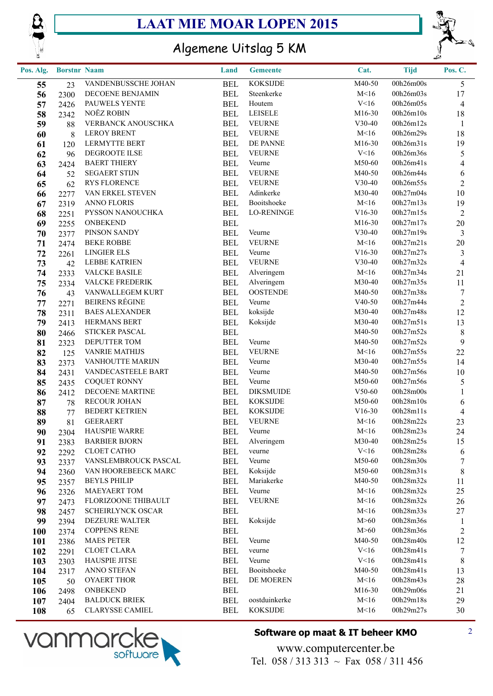



### Algemene Uitslag 5 KM

| Pos. Alg.  | <b>Borstnr Naam</b> |                                           | Land                     | <b>Gemeente</b>   | Cat.             | <b>Tijd</b>            | Pos. C.           |
|------------|---------------------|-------------------------------------------|--------------------------|-------------------|------------------|------------------------|-------------------|
| 55         | 23                  | VANDENBUSSCHE JOHAN                       | <b>BEL</b>               | <b>KOKSIJDE</b>   | M40-50           | 00h26m00s              | 5 <sup>1</sup>    |
| 56         | 2300                | DECOENE BENJAMIN                          | <b>BEL</b>               | Steenkerke        | M<16             | 00h26m03s              | 17                |
| 57         | 2426                | PAUWELS YENTE                             | <b>BEL</b>               | Houtem            | V<16             | 00h26m05s              | $\overline{4}$    |
| 58         | 2342                | NOËZ ROBIN                                | <b>BEL</b>               | <b>LEISELE</b>    | M16-30           | 00h26m10s              | 18                |
| 59         | 88                  | VERBANCK ANOUSCHKA                        | <b>BEL</b>               | <b>VEURNE</b>     | $V30-40$         | 00h26m12s              | $\mathbf{1}$      |
| 60         | 8                   | <b>LEROY BRENT</b>                        | <b>BEL</b>               | <b>VEURNE</b>     | M<16             | 00h26m29s              | 18                |
| 61         | 120                 | LERMYTTE BERT                             | <b>BEL</b>               | DE PANNE          | M16-30           | 00h26m31s              | 19                |
| 62         | 96                  | DEGROOTE ILSE                             | <b>BEL</b>               | <b>VEURNE</b>     | V<16             | 00h26m36s              | 5                 |
| 63         | 2424                | <b>BAERT THIERY</b>                       | <b>BEL</b>               | Veurne            | M50-60           | 00h26m41s              | $\overline{4}$    |
| 64         | 52                  | <b>SEGAERT STIJN</b>                      | <b>BEL</b>               | <b>VEURNE</b>     | M40-50           | 00h26m44s              | $\sqrt{6}$        |
| 65         | 62                  | <b>RYS FLORENCE</b>                       | <b>BEL</b>               | <b>VEURNE</b>     | $V30-40$         | 00h26m55s              | $\sqrt{2}$        |
| 66         | 2277                | VAN ERKEL STEVEN                          | <b>BEL</b>               | Adinkerke         | M30-40           | 00h27m04s              | 10                |
| 67         | 2319                | <b>ANNO FLORIS</b>                        | <b>BEL</b>               | Booitshoeke       | M<16             | 00h27m13s              | 19                |
| 68         | 2251                | PYSSON NANOUCHKA                          | <b>BEL</b>               | <b>LO-RENINGE</b> | $V16-30$         | 00h27m15s              | $\sqrt{2}$        |
| 69         | 2255                | <b>ONBEKEND</b>                           | <b>BEL</b>               |                   | M16-30           | 00h27m17s              | $20\,$            |
| 70         | 2377                | PINSON SANDY                              | <b>BEL</b>               | Veurne            | $V30-40$         | 00h27m19s              | $\mathfrak{Z}$    |
| 71         | 2474                | <b>BEKE ROBBE</b>                         | <b>BEL</b>               | <b>VEURNE</b>     | M<16             | 00h27m21s              | 20                |
| 72         | 2261                | <b>LINGIER ELS</b>                        | <b>BEL</b>               | Veurne            | $V16-30$         | 00h27m27s              | $\mathfrak{Z}$    |
| 73         | 42                  | <b>LEBBE KATRIEN</b>                      | <b>BEL</b>               | <b>VEURNE</b>     | $V30-40$         | 00h27m32s              | $\overline{4}$    |
| 74         | 2333                | <b>VALCKE BASILE</b>                      | <b>BEL</b>               | Alveringem        | M<16             | 00h27m34s              | 21                |
| 75         | 2334                | <b>VALCKE FREDERIK</b>                    | <b>BEL</b>               | Alveringem        | M30-40           | 00h27m35s              | 11                |
| 76         | 43                  | VANWALLEGEM KURT                          | <b>BEL</b>               | <b>OOSTENDE</b>   | M40-50           | 00h27m38s              | $\tau$            |
| 77         | 2271                | <b>BEIRENS RÉGINE</b>                     | <b>BEL</b>               | Veurne            | $V40-50$         | 00h27m44s              | $\sqrt{2}$        |
| 78         | 2311                | <b>BAES ALEXANDER</b>                     | <b>BEL</b>               | koksijde          | M30-40           | 00h27m48s              | 12                |
| 79         | 2413                | HERMANS BERT                              | <b>BEL</b>               | Koksijde          | M30-40           | 00h27m51s              | 13                |
| 80         | 2466                | <b>STICKER PASCAL</b>                     | <b>BEL</b>               |                   | M40-50           | 00h27m52s              | $\,8\,$           |
| 81         | 2323                | DEPUTTER TOM                              | <b>BEL</b>               | Veurne            | M40-50           | 00h27m52s              | $\boldsymbol{9}$  |
| 82         | 125                 | <b>VANRIE MATHIJS</b>                     | <b>BEL</b>               | <b>VEURNE</b>     | M<16             | 00h27m55s              | $22\,$            |
| 83         | 2373                | VANHOUTTE MARIJN                          | <b>BEL</b>               | Veurne<br>Veurne  | M30-40           | 00h27m55s              | 14                |
| 84         | 2431                | VANDECASTEELE BART<br><b>COQUET RONNY</b> | <b>BEL</b><br><b>BEL</b> | Veurne            | M40-50<br>M50-60 | 00h27m56s<br>00h27m56s | $10\,$            |
| 85         | 2435                | DECOENE MARTINE                           | <b>BEL</b>               | <b>DIKSMUIDE</b>  | $V50-60$         | 00h28m00s              | 5                 |
| 86         | 2412                | <b>RECOUR JOHAN</b>                       | <b>BEL</b>               | <b>KOKSIJDE</b>   | M50-60           | 00h28m10s              | $\mathbf{1}$<br>6 |
| 87<br>88   | 78<br>77            | <b>BEDERT KETRIEN</b>                     | <b>BEL</b>               | <b>KOKSIJDE</b>   | $V16-30$         | 00h28m11s              | $\overline{4}$    |
| 89         | 81                  | <b>GEERAERT</b>                           | <b>BEL</b>               | <b>VEURNE</b>     | M<16             | 00h28m22s              | 23                |
| 90         | 2304                | <b>HAUSPIE WARRE</b>                      | <b>BEL</b>               | Veurne            | M<16             | 00h28m23s              | 24                |
| 91         | 2383                | <b>BARBIER BJORN</b>                      | <b>BEL</b>               | Alveringem        | M30-40           | 00h28m25s              | 15                |
| 92         | 2292                | <b>CLOET CATHO</b>                        | <b>BEL</b>               | veurne            | V<16             | 00h28m28s              | 6                 |
| 93         | 2337                | VANSLEMBROUCK PASCAL                      | <b>BEL</b>               | Veurne            | M50-60           | 00h28m30s              | $\tau$            |
| 94         | 2360                | VAN HOOREBEECK MARC                       | <b>BEL</b>               | Koksijde          | M50-60           | 00h28m31s              | $\,8\,$           |
| 95         | 2357                | <b>BEYLS PHILIP</b>                       | <b>BEL</b>               | Mariakerke        | M40-50           | 00h28m32s              | 11                |
| 96         | 2326                | <b>MAEYAERT TOM</b>                       | <b>BEL</b>               | Veurne            | M<16             | 00h28m32s              | 25                |
| 97         | 2473                | FLORIZOONE THIBAULT                       | <b>BEL</b>               | <b>VEURNE</b>     | M<16             | 00h28m32s              | 26                |
| 98         | 2457                | <b>SCHEIRLYNCK OSCAR</b>                  | <b>BEL</b>               |                   | M<16             | 00h28m33s              | 27                |
| 99         | 2394                | DEZEURE WALTER                            | <b>BEL</b>               | Koksijde          | M>60             | 00h28m36s              | $\mathbf{1}$      |
| <b>100</b> | 2374                | <b>COPPENS RENE</b>                       | <b>BEL</b>               |                   | M>60             | 00h28m36s              | $\overline{c}$    |
| <b>101</b> | 2386                | <b>MAES PETER</b>                         | <b>BEL</b>               | Veurne            | M40-50           | 00h28m40s              | 12                |
| 102        | 2291                | <b>CLOET CLARA</b>                        | <b>BEL</b>               | veurne            | V<16             | 00h28m41s              | 7                 |
| 103        | 2303                | <b>HAUSPIE JITSE</b>                      | <b>BEL</b>               | Veurne            | V<16             | 00h28m41s              | $8\,$             |
| 104        | 2317                | ANNO STEFAN                               | <b>BEL</b>               | Booitshoeke       | M40-50           | 00h28m41s              | 13                |
| 105        | 50                  | <b>OYAERT THOR</b>                        | <b>BEL</b>               | DE MOEREN         | M<16             | 00h28m43s              | 28                |
| 106        | 2498                | <b>ONBEKEND</b>                           | <b>BEL</b>               |                   | M16-30           | 00h29m06s              | 21                |
| 107        | 2404                | <b>BALDUCK BRIEK</b>                      | <b>BEL</b>               | oostduinkerke     | M<16             | 00h29m18s              | 29                |
| 108        | 65                  | <b>CLARYSSE CAMIEL</b>                    | <b>BEL</b>               | <b>KOKSIJDE</b>   | M<16             | 00h29m27s              | 30                |



#### **Software op maat & IT beheer KMO** 2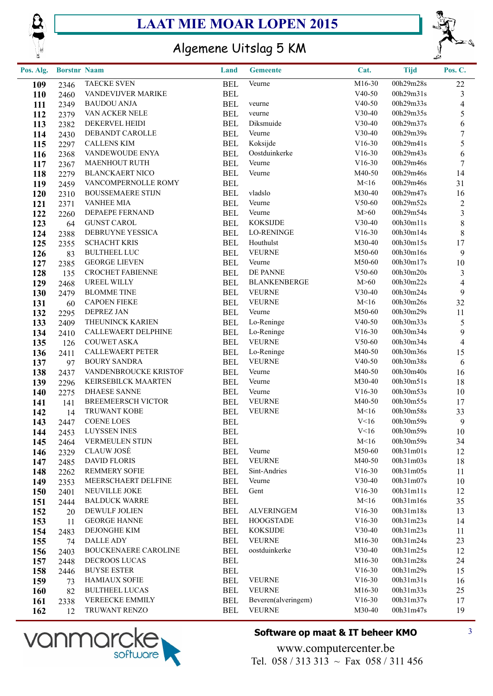



## Algemene Uitslag 5 KM

| Pos. Alg.  | <b>Borstnr Naam</b> |                                             | Land                     | <b>Gemeente</b>        | Cat.                 | <b>Tijd</b>            | Pos. C.          |
|------------|---------------------|---------------------------------------------|--------------------------|------------------------|----------------------|------------------------|------------------|
| 109        | 2346                | <b>TAECKE SVEN</b>                          | <b>BEL</b>               | Veurne                 | M16-30               | 00h29m28s              | 22               |
| <b>110</b> | 2460                | VANDEVIJVER MARIKE                          | <b>BEL</b>               |                        | $V40-50$             | 00h29m31s              | $\mathfrak{Z}$   |
| 111        | 2349                | <b>BAUDOU ANJA</b>                          | <b>BEL</b>               | veurne                 | $V40-50$             | 00h29m33s              | $\overline{4}$   |
| 112        | 2379                | VAN ACKER NELE                              | <b>BEL</b>               | veurne                 | V30-40               | 00h29m35s              | 5                |
| 113        | 2382                | DEKERVEL HEIDI                              | <b>BEL</b>               | Diksmuide              | V30-40               | 00h29m37s              | 6                |
| 114        | 2430                | DEBANDT CAROLLE                             | <b>BEL</b>               | Veurne                 | V30-40               | 00h29m39s              | $\boldsymbol{7}$ |
| 115        | 2297                | <b>CALLENS KIM</b>                          | <b>BEL</b>               | Koksijde               | $V16-30$             | 00h29m41s              | 5                |
| 116        | 2368                | VANDEWOUDE ENYA                             | <b>BEL</b>               | Oostduinkerke          | $V16-30$             | 00h29m43s              | $\sqrt{6}$       |
| 117        | 2367                | <b>MAENHOUT RUTH</b>                        | <b>BEL</b>               | Veurne                 | $V16-30$             | 00h29m46s              | $\tau$           |
| 118        | 2279                | <b>BLANCKAERT NICO</b>                      | <b>BEL</b>               | Veurne                 | M40-50               | 00h29m46s              | 14               |
| 119        | 2459                | VANCOMPERNOLLE ROMY                         | <b>BEL</b>               |                        | M<16                 | 00h29m46s              | 31               |
| 120        | 2310                | <b>BOUSSEMAERE STIJN</b>                    | <b>BEL</b>               | vladslo                | M30-40               | 00h29m47s              | 16               |
| 121        | 2371                | <b>VANHEE MIA</b>                           | <b>BEL</b>               | Veurne                 | $V50-60$             | 00h29m52s              | $\boldsymbol{2}$ |
| 122        | 2260                | DEPAEPE FERNAND                             | <b>BEL</b>               | Veurne                 | M>60                 | 00h29m54s              | $\mathfrak{Z}$   |
| 123        | 64                  | <b>GUNST CAROL</b>                          | <b>BEL</b>               | <b>KOKSIJDE</b>        | V30-40               | 00h30m11s              | $8\,$            |
| 124        | 2388                | DEBRUYNE YESSICA                            | <b>BEL</b>               | <b>LO-RENINGE</b>      | $V16-30$             | 00h30m14s              | $8\,$            |
| 125        | 2355                | <b>SCHACHT KRIS</b>                         | <b>BEL</b>               | Houthulst              | M30-40               | 00h30m15s              | $17\,$           |
| 126        | 83                  | <b>BULTHEEL LUC</b>                         | <b>BEL</b>               | <b>VEURNE</b>          | M50-60               | 00h30m16s              | $\boldsymbol{9}$ |
| 127        | 2385                | <b>GEORGE LIEVEN</b>                        | <b>BEL</b>               | Veurne                 | M50-60               | 00h30m17s              | 10               |
| 128        | 135                 | <b>CROCHET FABIENNE</b>                     | <b>BEL</b>               | DE PANNE               | V50-60               | 00h30m20s              | $\mathfrak z$    |
| 129        | 2468                | UREEL WILLY                                 | <b>BEL</b>               | <b>BLANKENBERGE</b>    | M>60                 | 00h30m22s              | $\overline{4}$   |
| 130        | 2479                | <b>BLOMME TINE</b>                          | <b>BEL</b>               | <b>VEURNE</b>          | V30-40               | 00h30m24s              | $\boldsymbol{9}$ |
| 131        | 60                  | <b>CAPOEN FIEKE</b>                         | <b>BEL</b>               | <b>VEURNE</b>          | M<16                 | 00h30m26s              | 32               |
| 132        | 2295                | <b>DEPREZ JAN</b>                           | <b>BEL</b>               | Veurne                 | M50-60               | 00h30m29s              | 11               |
| 133        | 2409                | THEUNINCK KARIEN                            | <b>BEL</b>               | Lo-Reninge             | $V40-50$             | 00h30m33s              | 5                |
| 134        | 2410                | CALLEWAERT DELPHINE                         | <b>BEL</b>               | Lo-Reninge             | $V16-30$             | 00h30m34s              | $\mathbf{9}$     |
| 135        | 126                 | <b>COUWET ASKA</b>                          | <b>BEL</b>               | <b>VEURNE</b>          | $V50-60$             | 00h30m34s              | $\overline{4}$   |
| 136        | 2411                | <b>CALLEWAERT PETER</b>                     | <b>BEL</b>               | Lo-Reninge             | M40-50               | 00h30m36s              | 15               |
| 137        | 97                  | <b>BOURY SANDRA</b>                         | <b>BEL</b>               | <b>VEURNE</b>          | $V40-50$             | 00h30m38s              | 6                |
| 138        | 2437                | VANDENBROUCKE KRISTOF                       | <b>BEL</b>               | Veurne                 | M40-50               | 00h30m40s              | 16               |
| 139        | 2296                | KEIRSEBILCK MAARTEN                         | <b>BEL</b>               | Veurne                 | M30-40               | 00h30m51s              | 18               |
| 140        | 2275                | <b>DHAESE SANNE</b>                         | <b>BEL</b>               | Veurne                 | $V16-30$             | 00h30m53s              | 10               |
| 141        | 141                 | <b>BREEMEERSCH VICTOR</b>                   | <b>BEL</b>               | <b>VEURNE</b>          | M40-50               | 00h30m55s              | 17               |
| 142        | 14                  | TRUWANT KOBE                                | <b>BEL</b>               | <b>VEURNE</b>          | M<16                 | 00h30m58s              | 33               |
| 143        | 2447                | <b>COENE LOES</b>                           | <b>BEL</b>               |                        | V<16                 | 00h30m59s              | $\overline{9}$   |
| 144        | 2453                | <b>LUYSSEN INES</b>                         | <b>BEL</b>               |                        | V<16                 | 00h30m59s              | 10               |
| 145        | 2464                | VERMEULEN STIJN                             | <b>BEL</b>               |                        | M<16                 | 00h30m59s              | 34               |
| 146        | 2329                | <b>CLAUW JOSÉ</b>                           | <b>BEL</b>               | Veurne                 | M50-60               | 00h31m01s              | 12               |
| 147        | 2485                | <b>DAVID FLORIS</b>                         | <b>BEL</b>               | <b>VEURNE</b>          | M40-50               | 00h31m03s<br>00h31m05s | 18               |
| 148        | 2262                | <b>REMMERY SOFIE</b><br>MEERSCHAERT DELFINE | <b>BEL</b>               | Sint-Andries<br>Veurne | $V16-30$<br>$V30-40$ | 00h31m07s              | 11<br>10         |
| 149        | 2353                | NEUVILLE JOKE                               | <b>BEL</b><br><b>BEL</b> | Gent                   | $V16-30$             | 00h31m11s              | 12               |
| 150        | 2401                | <b>BALDUCK WARRE</b>                        | <b>BEL</b>               |                        | M<16                 | 00h31m16s              | 35               |
| 151        | 2444                | DEWULF JOLIEN                               | <b>BEL</b>               | <b>ALVERINGEM</b>      | $V16-30$             | 00h31m18s              | 13               |
| 152        | 20                  | <b>GEORGE HANNE</b>                         | <b>BEL</b>               | <b>HOOGSTADE</b>       | $V16-30$             | 00h31m23s              | 14               |
| 153        | 11                  | DEJONGHE KIM                                | <b>BEL</b>               | <b>KOKSIJDE</b>        | $V30-40$             | 00h31m23s              | 11               |
| 154        | 2483                | DALLE ADY                                   | <b>BEL</b>               | <b>VEURNE</b>          | M16-30               | 00h31m24s              | 23               |
| 155<br>156 | 74<br>2403          | <b>BOUCKENAERE CAROLINE</b>                 | <b>BEL</b>               | oostduinkerke          | $V30-40$             | 00h31m25s              | 12               |
|            |                     | DECROOS LUCAS                               | <b>BEL</b>               |                        | M16-30               | 00h31m28s              | 24               |
| 157<br>158 | 2448<br>2446        | <b>BUYSE ESTER</b>                          | <b>BEL</b>               |                        | $V16-30$             | 00h31m29s              | 15               |
| 159        | 73                  | <b>HAMIAUX SOFIE</b>                        | <b>BEL</b>               | <b>VEURNE</b>          | $V16-30$             | 00h31m31s              | 16               |
| 160        | 82                  | <b>BULTHEEL LUCAS</b>                       | <b>BEL</b>               | <b>VEURNE</b>          | M16-30               | 00h31m33s              | 25               |
| 161        | 2338                | VEREECKE EMMILY                             | <b>BEL</b>               | Beveren(alveringem)    | $V16-30$             | 00h31m37s              | 17               |
| 162        | 12                  | TRUWANT RENZO                               | <b>BEL</b>               | <b>VEURNE</b>          | M30-40               | 00h31m47s              | 19               |
|            |                     |                                             |                          |                        |                      |                        |                  |



#### **Software op maat & IT beheer KMO** 3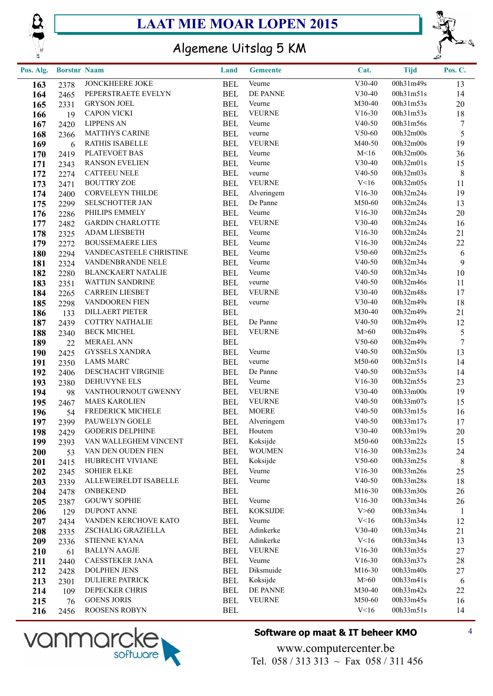





## Algemene Uitslag 5 KM

| Pos. Alg. | <b>Borstnr Naam</b> |                                     | Land                     | <b>Gemeente</b> | Cat.           | <b>Tijd</b>            | Pos. C.         |
|-----------|---------------------|-------------------------------------|--------------------------|-----------------|----------------|------------------------|-----------------|
| 163       | 2378                | JONCKHEERE JOKE                     | <b>BEL</b>               | Veurne          | $V30-40$       | $\overline{00h31m49s}$ | 13              |
| 164       | 2465                | PEPERSTRAETE EVELYN                 | <b>BEL</b>               | DE PANNE        | V30-40         | 00h31m51s              | 14              |
| 165       | 2331                | <b>GRYSON JOEL</b>                  | <b>BEL</b>               | Veurne          | M30-40         | 00h31m53s              | 20              |
| 166       | 19                  | <b>CAPON VICKI</b>                  | <b>BEL</b>               | <b>VEURNE</b>   | $V16-30$       | 00h31m53s              | 18              |
| 167       | 2420                | <b>LIPPENS AN</b>                   | <b>BEL</b>               | Veurne          | $V40-50$       | 00h31m56s              | $\tau$          |
| 168       | 2366                | <b>MATTHYS CARINE</b>               | <b>BEL</b>               | veurne          | $V50-60$       | 00h32m00s              | 5               |
| 169       | 6                   | RATHIS ISABELLE                     | <b>BEL</b>               | <b>VEURNE</b>   | M40-50         | 00h32m00s              | 19              |
| 170       | 2419                | PLATEVOET BAS                       | <b>BEL</b>               | Veurne          | M<16           | 00h32m00s              | 36              |
| 171       | 2343                | <b>RANSON EVELIEN</b>               | <b>BEL</b>               | Veurne          | $V30-40$       | 00h32m01s              | 15              |
| 172       | 2274                | <b>CATTEEU NELE</b>                 | <b>BEL</b>               | veurne          | $V40-50$       | 00h32m03s              | $8\phantom{.0}$ |
| 173       | 2471                | <b>BOUTTRY ZOE</b>                  | <b>BEL</b>               | <b>VEURNE</b>   | V<16           | 00h32m05s              | 11              |
| 174       | 2400                | CORVELEYN THILDE                    | <b>BEL</b>               | Alveringem      | $V16-30$       | 00h32m24s              | 19              |
| 175       | 2299                | SELSCHOTTER JAN                     | <b>BEL</b>               | De Panne        | M50-60         | 00h32m24s              | 13              |
| 176       | 2286                | PHILIPS EMMELY                      | <b>BEL</b>               | Veurne          | $V16-30$       | 00h32m24s              | 20              |
| 177       | 2482                | <b>GARDIN CHARLOTTE</b>             | <b>BEL</b>               | <b>VEURNE</b>   | $V30-40$       | 00h32m24s              | 16              |
| 178       | 2325                | <b>ADAM LIESBETH</b>                | <b>BEL</b>               | Veurne          | $V16-30$       | 00h32m24s              | 21              |
| 179       | 2272                | <b>BOUSSEMAERE LIES</b>             | <b>BEL</b>               | Veurne          | $V16-30$       | 00h32m24s              | 22              |
| 180       | 2294                | VANDECASTEELE CHRISTINE             | <b>BEL</b>               | Veurne          | $V50-60$       | 00h32m25s              | 6               |
| 181       | 2324                | VANDENBRANDE NELE                   | <b>BEL</b>               | Veurne          | $V40-50$       | 00h32m34s              | $\mathbf{9}$    |
| 182       | 2280                | <b>BLANCKAERT NATALIE</b>           | <b>BEL</b>               | Veurne          | $V40-50$       | 00h32m34s              | 10              |
| 183       | 2351                | WATTIJN SANDRINE                    | <b>BEL</b>               | veurne          | $V40-50$       | 00h32m46s              | 11              |
| 184       | 2265                | <b>CARREIN LIESBET</b>              | <b>BEL</b>               | <b>VEURNE</b>   | $V30-40$       | 00h32m48s              | 17              |
| 185       | 2298                | VANDOOREN FIEN                      | <b>BEL</b>               | veurne          | $V30-40$       | 00h32m49s              | 18              |
| 186       | 133                 | <b>DILLAERT PIETER</b>              | <b>BEL</b>               |                 | M30-40         | 00h32m49s              | 21              |
| 187       | 2439                | <b>COTTRY NATHALIE</b>              | <b>BEL</b>               | De Panne        | $V40-50$       | 00h32m49s              | 12              |
| 188       | 2340                | <b>BECK MICHEL</b>                  | <b>BEL</b>               | <b>VEURNE</b>   | M>60           | 00h32m49s              | 5               |
| 189       | 22                  | <b>MERAEL ANN</b>                   | <b>BEL</b>               |                 | $V50-60$       | 00h32m49s              | $\overline{7}$  |
| 190       | 2425                | <b>GYSSELS XANDRA</b>               | <b>BEL</b>               | Veurne          | $V40-50$       | 00h32m50s              | 13              |
| 191       | 2350                | <b>LAMS MARC</b>                    | <b>BEL</b>               | veurne          | M50-60         | 00h32m51s              | 14              |
| 192       | 2406                | DESCHACHT VIRGINIE                  | <b>BEL</b>               | De Panne        | $V40-50$       | 00h32m53s              | 14              |
| 193       | 2380                | DEHUVYNE ELS                        | <b>BEL</b>               | Veurne          | $V16-30$       | 00h32m55s              | 23              |
| 194       | 98                  | VANTHOURNOUT GWENNY                 | <b>BEL</b>               | <b>VEURNE</b>   | $V30-40$       | 00h33m00s              | 19              |
| 195       | 2467                | <b>MAES KAROLIEN</b>                | <b>BEL</b>               | <b>VEURNE</b>   | $V40-50$       | 00h33m07s              | 15              |
| 196       | 54                  | FREDERICK MICHELE                   | <b>BEL</b>               | <b>MOERE</b>    | $V40-50$       | 00h33m15s              | 16              |
| 197       | 2399                | PAUWELYN GOELE                      | <b>BEL</b>               | Alveringem      | $V40-50$       | 00h33m17s              | 17              |
| 198       | 2429                | <b>GODERIS DELPHINE</b>             | <b>BEL</b>               | Houtem          | $V30-40$       | 00h33m19s              | 20              |
| 199       | 2393                | VAN WALLEGHEM VINCENT               | <b>BEL</b>               | Koksijde        | M50-60         | 00h33m22s              | 15              |
| 200       | 53                  | VAN DEN OUDEN FIEN                  | <b>BEL</b>               | <b>WOUMEN</b>   | $V16-30$       | 00h33m23s              | 24              |
| 201       | 2415                | HUBRECHT VIVIANE                    | <b>BEL</b>               | Koksijde        | $V50-60$       | 00h33m25s              | $8\phantom{1}$  |
| 202       | 2345                | <b>SOHIER ELKE</b>                  | <b>BEL</b>               | Veurne          | $V16-30$       | 00h33m26s              | 25              |
| 203       | 2339                | ALLEWEIRELDT ISABELLE               | <b>BEL</b>               | Veurne          | $V40-50$       | 00h33m28s              | 18              |
| 204       | 2478                | <b>ONBEKEND</b>                     | <b>BEL</b>               |                 | M16-30         | 00h33m30s              | 26              |
| 205       | 2387                | <b>GOUWY SOPHIE</b>                 | <b>BEL</b>               | Veurne          | $V16-30$       | 00h33m34s              | 26              |
| 206       | 129                 | <b>DUPONT ANNE</b>                  | <b>BEL</b>               | <b>KOKSIJDE</b> | V > 60         | 00h33m34s              | $\mathbf{1}$    |
| 207       | 2434                | VANDEN KERCHOVE KATO                | <b>BEL</b>               | Veurne          | V<16           | 00h33m34s              | 12              |
| 208       | 2335                | ZSCHALIG GRAZIELLA                  | <b>BEL</b>               | Adinkerke       | $V30-40$       | 00h33m34s              | 21              |
| 209       | 2336                | <b>STIENNE KYANA</b>                | <b>BEL</b>               | Adinkerke       | V<16           | 00h33m34s              | 13              |
| 210       | 61                  | <b>BALLYN AAGJE</b>                 | <b>BEL</b>               | <b>VEURNE</b>   | $V16-30$       | 00h33m35s              | 27              |
| 211       | 2440                | CAESSTEKER JANA                     | <b>BEL</b>               | Veurne          | $V16-30$       | 00h33m37s              | 28              |
| 212       | 2428                | DOLPHEN JENS                        | <b>BEL</b>               | Diksmuide       | M16-30         | 00h33m40s              | 27              |
| 213       | 2301                | <b>DULIERE PATRICK</b>              | <b>BEL</b>               | Koksijde        | M>60           | 00h33m41s              | 6               |
| 214       | 109                 | DEPECKER CHRIS                      | <b>BEL</b>               | DE PANNE        | M30-40         | 00h33m42s              | 22              |
| 215       | 76                  | <b>GOENS JORIS</b><br>ROOSENS ROBYN | <b>BEL</b><br><b>BEL</b> | <b>VEURNE</b>   | M50-60<br>V<16 | 00h33m45s<br>00h33m51s | 16<br>14        |
| 216       | 2456                |                                     |                          |                 |                |                        |                 |



#### **Software op maat & IT beheer KMO** 4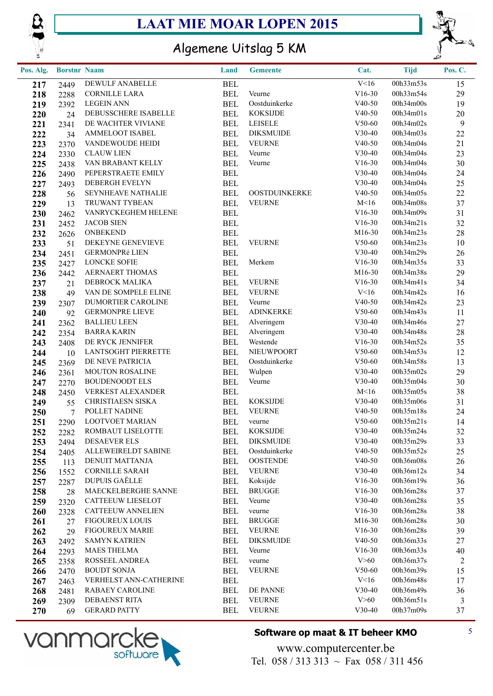



## Algemene Uitslag 5 KM

| Pos. Alg.  | <b>Borstnr Naam</b> |                                               | Land                     | <b>Gemeente</b>            | Cat.                 | <b>Tijd</b>            | Pos. C.        |
|------------|---------------------|-----------------------------------------------|--------------------------|----------------------------|----------------------|------------------------|----------------|
| 217        | 2449                | DEWULF ANABELLE                               | <b>BEL</b>               |                            | V<16                 | 00h33m53s              | 15             |
| 218        | 2288                | <b>CORNILLE LARA</b>                          | <b>BEL</b>               | Veurne                     | $V16-30$             | 00h33m54s              | 29             |
| 219        | 2392                | <b>LEGEIN ANN</b>                             | <b>BEL</b>               | Oostduinkerke              | $V40-50$             | 00h34m00s              | 19             |
| 220        | 24                  | DEBUSSCHERE ISABELLE                          | <b>BEL</b>               | <b>KOKSIJDE</b>            | $V40-50$             | 00h34m01s              | 20             |
| 221        | 2341                | DE WACHTER VIVIANE                            | <b>BEL</b>               | <b>LEISELE</b>             | V50-60               | 00h34m02s              | $\overline{9}$ |
| 222        | 34                  | AMMELOOT ISABEL                               | <b>BEL</b>               | <b>DIKSMUIDE</b>           | V30-40               | 00h34m03s              | 22             |
| 223        | 2370                | VANDEWOUDE HEIDI                              | <b>BEL</b>               | <b>VEURNE</b>              | $V40-50$             | 00h34m04s              | 21             |
| 224        | 2330                | <b>CLAUW LIEN</b>                             | <b>BEL</b>               | Veurne                     | $V30-40$             | 00h34m04s              | 23             |
| 225        | 2438                | VAN BRABANT KELLY                             | <b>BEL</b>               | Veurne                     | $V16-30$             | 00h34m04s              | 30             |
| 226        | 2490                | PEPERSTRAETE EMILY                            | <b>BEL</b>               |                            | V30-40               | 00h34m04s              | 24             |
| 227        | 2493                | DEBERGH EVELYN                                | <b>BEL</b>               |                            | V30-40               | 00h34m04s              | 25             |
| 228        | 56                  | SEYNHEAVE NATHALIE                            | <b>BEL</b>               | OOSTDUINKERKE              | $V40-50$             | 00h34m05s              | 22             |
| 229        | 13                  | TRUWANT TYBEAN                                | <b>BEL</b>               | <b>VEURNE</b>              | M<16                 | 00h34m08s              | 37             |
| 230        | 2462                | VANRYCKEGHEM HELENE                           | <b>BEL</b>               |                            | $V16-30$             | 00h34m09s              | 31             |
| 231        | 2452                | <b>JACOB SIEN</b>                             | <b>BEL</b>               |                            | $V16-30$             | 00h34m21s              | 32             |
| 232        | 2626                | <b>ONBEKEND</b>                               | <b>BEL</b>               |                            | M16-30               | 00h34m23s              | 28             |
| 233        | 51                  | DEKEYNE GENEVIEVE                             | <b>BEL</b>               | <b>VEURNE</b>              | V50-60               | 00h34m23s              | 10             |
| 234        | 2451                | GERMONPRé LIEN                                | <b>BEL</b>               |                            | V30-40               | 00h34m29s              | 26             |
| 235        | 2427                | <b>LONCKE SOFIE</b>                           | <b>BEL</b>               | Merkem                     | $V16-30$             | 00h34m35s              | 33             |
| 236        | 2442                | AERNAERT THOMAS                               | <b>BEL</b>               |                            | M16-30               | 00h34m38s              | 29             |
| 237        | 21                  | DEBROCK MALIKA                                | <b>BEL</b>               | <b>VEURNE</b>              | $V16-30$             | 00h34m41s              | 34             |
| 238        | 49                  | VAN DE SOMPELE ELINE                          | <b>BEL</b>               | <b>VEURNE</b>              | V<16                 | 00h34m42s              | 16             |
| 239        | 2307                | DUMORTIER CAROLINE                            | <b>BEL</b>               | Veurne<br><b>ADINKERKE</b> | $V40-50$             | 00h34m42s<br>00h34m43s | 23             |
| 240        | 92                  | <b>GERMONPRE LIEVE</b><br><b>BALLIEU LEEN</b> | <b>BEL</b><br><b>BEL</b> |                            | $V50-60$<br>$V30-40$ | 00h34m46s              | 11<br>27       |
| 241        | 2362                | <b>BARRA KARIN</b>                            | <b>BEL</b>               | Alveringem<br>Alveringem   | $V30-40$             | 00h34m48s              | 28             |
| 242        | 2354                | DE RYCK JENNIFER                              | <b>BEL</b>               | Westende                   | $V16-30$             | 00h34m52s              | 35             |
| 243<br>244 | 2408<br>10          | <b>LANTSOGHT PIERRETTE</b>                    | <b>BEL</b>               | NIEUWPOORT                 | $V50-60$             | 00h34m53s              | 12             |
| 245        | 2369                | DE NEVE PATRICIA                              | <b>BEL</b>               | Oostduinkerke              | $V50-60$             | 00h34m58s              | 13             |
| 246        | 2361                | MOUTON ROSALINE                               | <b>BEL</b>               | Wulpen                     | $V30-40$             | 00h35m02s              | 29             |
| 247        | 2270                | <b>BOUDENOODT ELS</b>                         | <b>BEL</b>               | Veurne                     | $V30-40$             | 00h35m04s              | 30             |
| 248        | 2450                | <b>VERKEST ALEXANDER</b>                      | <b>BEL</b>               |                            | M<16                 | 00h35m05s              | 38             |
| 249        | 55                  | <b>CHRISTIAESN SISKA</b>                      | <b>BEL</b>               | <b>KOKSIJDE</b>            | V30-40               | 00h35m06s              | 31             |
| 250        | $7\phantom{.0}$     | POLLET NADINE                                 | <b>BEL</b>               | <b>VEURNE</b>              | $V40-50$             | 00h35m18s              | 24             |
| 251        | 2290                | LOOTVOET MARIAN                               | <b>BEL</b>               | veurne                     | $V50-60$             | 00h35m21s              | 14             |
| 252        | 2282                | ROMBAUT LISELOTTE                             | <b>BEL</b>               | <b>KOKSIJDE</b>            | $V30-40$             | 00h35m24s              | 32             |
| 253        | 2494                | <b>DESAEVER ELS</b>                           | <b>BEL</b>               | <b>DIKSMUIDE</b>           | $V30-40$             | 00h35m29s              | 33             |
| 254        | 2405                | ALLEWEIRELDT SABINE                           | <b>BEL</b>               | Oostduinkerke              | $V40-50$             | 00h35m52s              | 25             |
| 255        | 113                 | DENUIT MATTANJA                               | <b>BEL</b>               | <b>OOSTENDE</b>            | $V40-50$             | 00h36m08s              | 26             |
| 256        | 1552                | <b>CORNILLE SARAH</b>                         | <b>BEL</b>               | <b>VEURNE</b>              | $V30-40$             | 00h36m12s              | 34             |
| 257        | 2287                | <b>DUPUIS GAËLLE</b>                          | <b>BEL</b>               | Koksijde                   | $V16-30$             | 00h36m19s              | 36             |
| 258        | 28                  | MAECKELBERGHE SANNE                           | <b>BEL</b>               | <b>BRUGGE</b>              | $V16-30$             | 00h36m28s              | 37             |
| 259        | 2320                | CATTEEUW LIESELOT                             | BEL                      | Veurne                     | $V30-40$             | 00h36m28s              | 35             |
| 260        | 2328                | <b>CATTEEUW ANNELIEN</b>                      | <b>BEL</b>               | veurne                     | $V16-30$             | 00h36m28s              | 38             |
| 261        | 27                  | <b>FIGOUREUX LOUIS</b>                        | <b>BEL</b>               | <b>BRUGGE</b>              | M <sub>16</sub> -30  | 00h36m28s              | 30             |
| 262        | 29                  | <b>FIGOUREUX MARIE</b>                        | <b>BEL</b>               | <b>VEURNE</b>              | $V16-30$             | 00h36m28s              | 39             |
| 263        | 2492                | <b>SAMYN KATRIEN</b>                          | <b>BEL</b>               | <b>DIKSMUIDE</b>           | $V40-50$             | 00h36m33s              | 27             |
| 264        | 2293                | <b>MAES THELMA</b>                            | <b>BEL</b>               | Veurne                     | $V16-30$             | 00h36m33s              | 40             |
| 265        | 2358                | ROSSEEL ANDREA                                | <b>BEL</b>               | veurne                     | V > 60               | 00h36m37s              | $\overline{c}$ |
| 266        | 2470                | <b>BOUDT SONJA</b>                            | <b>BEL</b>               | <b>VEURNE</b>              | $V50-60$             | 00h36m39s              | 15             |
| 267        | 2463                | VERHELST ANN-CATHERINE                        | <b>BEL</b>               |                            | V<16                 | 00h36m48s              | 17             |
| 268        | 2481                | <b>RABAEY CAROLINE</b>                        | <b>BEL</b>               | DE PANNE                   | $V30-40$             | 00h36m49s              | 36             |
| 269        | 2309                | DEBAENST RITA                                 | <b>BEL</b>               | <b>VEURNE</b>              | V > 60               | 00h36m51s              | 3              |
| 270        | 69                  | <b>GERARD PATTY</b>                           | <b>BEL</b>               | <b>VEURNE</b>              | $V30-40$             | 00h37m09s              | 37             |



#### **Software op maat & IT beheer KMO** 5